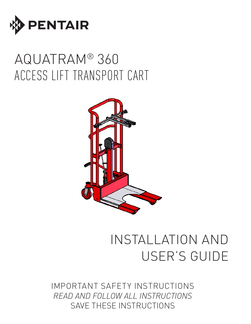

# AQUATRAM® 360 ACCESS LIFT TRANSPORT CART



# INSTALLATION AND USER'S GUIDE

IMPORTANT SAFETY INSTRUCTIONS *READ AND FOLLOW ALL INSTRUCTIONS* SAVE THESE INSTRUCTIONS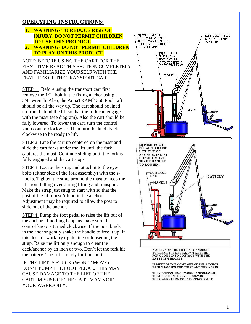### **OPERATING INSTRUCTIONS:**

- **1. WARNING - TO REDUCE RISK OF INJURY, DO NOT PERMIT CHILDREN TO USE THIS PRODUCT .**
- **2. WARNING - DO NOT PERMIT CHILDREN TO PLAY ON THIS PRODUCT.**

NOTE: BEFORE USING THE CART FOR THE FIRST TIME READ THIS SECTION COMPLETELY AND FAMILIARIZE YOURSELF WITH THE FEATURES OF THE TRANSPORT CART.

STEP 1: Before using the transport cart first remove the 1/2" bolt in the fixing anchor using a  $3/4$ " wrench. Also, the AquaTRAM<sup>®</sup> 360 Pool Lift should be all the way up. The cart should be lined up from behind the lift so that the fork can engage with the mast (see diagram). Also the cart should be fully lowered. To lower the cart , turn the control knob counterclockwise. Then turn the knob back clockwise to be ready to lift.

STEP 2: Line the cart up centered on the mast and slide the cart forks under the lift until the fork captures the mast. Continue sliding until the fork is fully engaged and the cart stops.

STEP 3: Locate the strap and attach it to the eyebolts (either side of the fork assembly) with the s hooks. Tighten the strap around the mast to keep the lift from falling over during lifting and transport. Make the strap just snug to start with so that the post of the lift doesn't bind in the anchor. Adjustment may be required to allow the post to slide out of the anchor.

STEP 4: Pump the foot pedal to raise the lift out of the anchor. If nothing happens make sure the control knob is turned clockwise. If the post binds in the anchor gently shake the handle to free it up. If this doesn't work try tightening or loosening the strap. Raise the lift only enough to clear the deck/anchor by an inch or two, Don't let the fork hit the battery. The lift is ready for transport

IF THE LIFT IS STUCK (WON"T MOVE) DON'T PUMP THE FOOT PEDAL. THIS MAY CAUSE DAMAGE TO THE LIFT OR THE CART. MISUSE OF THE CART MAY VOID YOUR WARRANTY.



CLEAR THE DECK.DON'T LET THE FORK COME INTO CONTACT WITH THE BATTERY/BRACKET.

IF LIFT DOESN'T COME OUT OF THE ANCHOR EASILY LOOSEN THE STRAP AND TRY AGAIN.

THE CONTROL KNOB WORKS AS FOLLOWS: TO LIFT - TURN FULLY CLOCKWISE TO LOWER - TURN COUNTERCLOCKWISE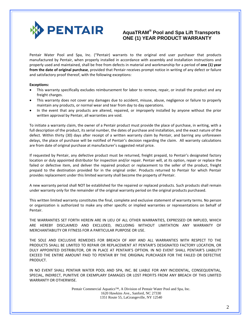

### **AquaTRAM® Pool and Spa Lift Transports ONE (1) YEAR PRODUCT WARRANTY**

Pentair Water Pool and Spa, Inc. ("Pentair) warrants to the original end user purchaser that products manufactured by Pentair, when properly installed in accordance with assembly and installation instructions and properly used and maintained, shall be free from defects in material and workmanship for a period of **one (1) year from the date of original purchase**, provided that Pentair receives prompt notice in writing of any defect or failure and satisfactory proof thereof, with the following exceptions:

#### **Exceptions:**

- This warranty specifically excludes reimbursement for labor to remove, repair, or install the product and any freight charges.
- This warranty does not cover any damages due to accident, misuse, abuse, negligence or failure to properly maintain any products, or normal wear and tear from day to day operations.
- In the event that any products are altered, repaired, or improperly installed by anyone without the prior written approval by Pentair, all warranties are void.

To initiate a warranty claim, the owner of a Pentair product must provide the place of purchase, in writing, with a full description of the product, its serial number, the dates of purchase and installation, and the exact nature of the defect. Within thirty (30) days after receipt of a written warranty claim by Pentair, and barring any unforeseen delays, the place of purchase will be notified of Pentair's decision regarding the claim. All warranty calculations are from date of original purchase at manufacturer's suggested retail price.

If requested by Pentair, any defective product must be returned, freight prepaid, to Pentair's designated factory location or duly appointed distributor for inspection and/or repair. Pentair will, at its option, repair or replace the failed or defective item, and deliver the repaired product or replacement to the seller of the product, freight prepaid to the destination provided for in the original order. Products returned to Pentair for which Pentair provides replacement under this limited warranty shall become the property of Pentair.

A new warranty period shall NOT be established for the repaired or replaced products. Such products shall remain under warranty only for the remainder of the original warranty period on the original products purchased.

This written limited warranty constitutes the final, complete and exclusive statement of warranty terms. No person or organization is authorized to make any other specific or implied warranties or representations on behalf of Pentair.

THE WARRANTIES SET FORTH HEREIN ARE IN LIEU OF ALL OTHER WARRANTIES, EXPRESSED OR IMPLIED, WHICH ARE HEREBY DISCLAIMED AND EXCLUDED, INCLUDING WITHOUT LIMITATION ANY WARRANTY OF MERCHANTABILITY OR FITNESS FOR A PARTICULAR PURPOSE OR USE.

THE SOLE AND EXCLUSIVE REMEDIES FOR BREACH OF ANY AND ALL WARRANTIES WITH RESPECT TO THE PRODUCTS SHALL BE LIMITED TO REPAIR OR REPLACEMENT AT PENTAIR'S DESIGNATED FACTORY LOCATION, OR DULY APPOINTED DISTRIBUTOR, OR IN PLACE AT PENTAIR'S OPTION. IN NO EVENT SHALL PENTAIR'S LIABILITY EXCEED THE ENTIRE AMOUNT PAID TO PENTAIR BY THE ORIGINAL PURCHASER FOR THE FAILED OR DEFECTIVE PRODUCT.

IN NO EVENT SHALL PENTAIR WATER POOL AND SPA, INC. BE LIABLE FOR ANY INCIDENTAL, CONSEQUENTIAL, SPECIAL, INDIRECT, PUNITIVE OR EXEMPLARY DAMAGES OR LOST PROFITS FROM ANY BREACH OF THIS LIMITED WARRANTY OR OTHERWISE.

> Pentair Commercial Aquatics™, A Division of Pentair Water Pool and Spa, Inc. 1620 Hawkins Ave., Sanford, NC 27330 1351 Route 55, LaGrangeville, NY 12540